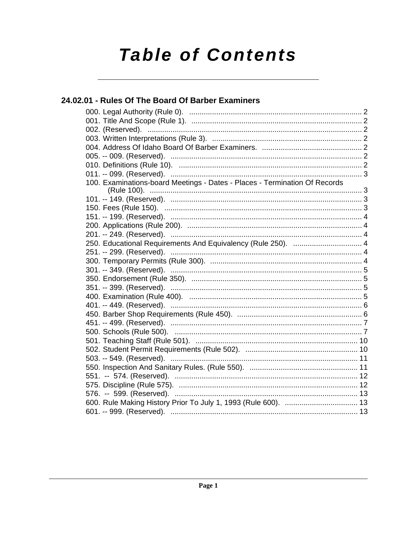# **Table of Contents**

## 24.02.01 - Rules Of The Board Of Barber Examiners 100. Examinations-board Meetings - Dates - Places - Termination Of Records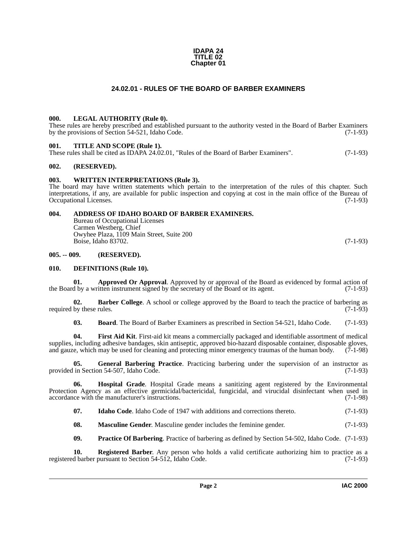#### **IDAPA 24 TITLE 02 Chapter 01**

### **24.02.01 - RULES OF THE BOARD OF BARBER EXAMINERS**

#### <span id="page-1-17"></span><span id="page-1-1"></span><span id="page-1-0"></span>**000. LEGAL AUTHORITY (Rule 0).**

These rules are hereby prescribed and established pursuant to the authority vested in the Board of Barber Examiners by the provisions of Section 54-521, Idaho Code. (7-1-93)

#### <span id="page-1-21"></span><span id="page-1-2"></span>**001. TITLE AND SCOPE (Rule 1).**

These rules shall be cited as IDAPA 24.02.01, "Rules of the Board of Barber Examiners". (7-1-93)

#### <span id="page-1-3"></span>**002. (RESERVED).**

#### <span id="page-1-22"></span><span id="page-1-4"></span>**003. WRITTEN INTERPRETATIONS (Rule 3).**

The board may have written statements which pertain to the interpretation of the rules of this chapter. Such interpretations, if any, are available for public inspection and copying at cost in the main office of the Bureau of Occupational Licenses. (7-1-93)

#### <span id="page-1-5"></span>**004. ADDRESS OF IDAHO BOARD OF BARBER EXAMINERS.**

<span id="page-1-8"></span>Bureau of Occupational Licenses Carmen Westberg, Chief Owyhee Plaza, 1109 Main Street, Suite 200 Boise, Idaho 83702. (7-1-93)

#### <span id="page-1-6"></span>**005. -- 009. (RESERVED).**

#### <span id="page-1-12"></span><span id="page-1-7"></span>**010. DEFINITIONS (Rule 10).**

<span id="page-1-9"></span>**01. Approved Or Approval**. Approved by or approval of the Board as evidenced by formal action of the Board by a written instrument signed by the secretary of the Board or its agent. (7-1-93)

**02. Barber College**. A school or college approved by the Board to teach the practice of barbering as required by these rules.  $(7-1-93)$ 

<span id="page-1-14"></span><span id="page-1-13"></span><span id="page-1-11"></span><span id="page-1-10"></span>**03. Board**. The Board of Barber Examiners as prescribed in Section 54-521, Idaho Code. (7-1-93)

**04. First Aid Kit**. First-aid kit means a commercially packaged and identifiable assortment of medical supplies, including adhesive bandages, skin antiseptic, approved bio-hazard disposable container, disposable gloves, and gauze, which may be used for cleaning and protecting minor emergency traumas of the human body. (7-1-98)

**05.** General Barbering Practice. Practicing barbering under the supervision of an instructor as in Section 54-507. Idaho Code. (7-1-93) provided in Section 54-507, Idaho Code.

**06. Hospital Grade**. Hospital Grade means a sanitizing agent registered by the Environmental Protection Agency as an effective germicidal/bactericidal, fungicidal, and virucidal disinfectant when used in accordance with the manufacturer's instructions. (7-1-98)

<span id="page-1-16"></span><span id="page-1-15"></span>**07.** Idaho Code. Idaho Code of 1947 with additions and corrections thereto. (7-1-93)

<span id="page-1-18"></span>**08. Masculine Gender**. Masculine gender includes the feminine gender. (7-1-93)

<span id="page-1-20"></span><span id="page-1-19"></span>**09. Practice Of Barbering**. Practice of barbering as defined by Section 54-502, Idaho Code. (7-1-93)

**10. Registered Barber**. Any person who holds a valid certificate authorizing him to practice as a registered barber pursuant to Section 54-512, Idaho Code. (7-1-93)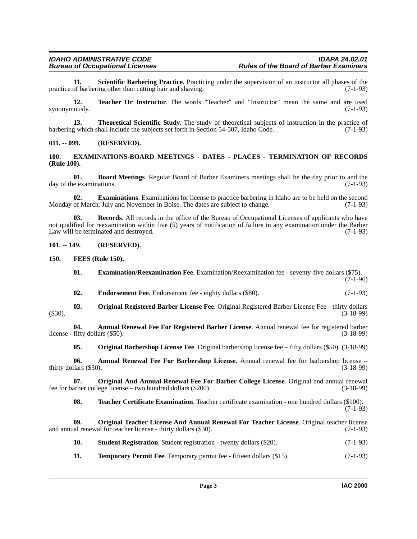<span id="page-2-17"></span>**11.** Scientific Barbering Practice. Practicing under the supervision of an instructor all phases of the of barbering other than cutting hair and shaving. (7-1-93) practice of barbering other than cutting hair and shaving.

<span id="page-2-20"></span>**12. Teacher Or Instructor**. The words "Teacher" and "Instructor" mean the same and are used synonymously.  $(7-1-93)$ 

<span id="page-2-22"></span>**13. Theoretical Scientific Study**. The study of theoretical subjects of instruction in the practice of barbering which shall include the subjects set forth in Section 54-507, Idaho Code. (7-1-93)

#### <span id="page-2-0"></span>**011. -- 099. (RESERVED).**

#### <span id="page-2-10"></span><span id="page-2-1"></span>**100. EXAMINATIONS-BOARD MEETINGS - DATES - PLACES - TERMINATION OF RECORDS (Rule 100).**

<span id="page-2-6"></span>**01. Board Meetings**. Regular Board of Barber Examiners meetings shall be the day prior to and the day of the examinations. (7-1-93)

<span id="page-2-9"></span>**02. Examinations**. Examinations for license to practice barbering in Idaho are to be held on the second Monday of March, July and November in Boise. The dates are subject to change. (7-1-93)

<span id="page-2-16"></span>**03. Records**. All records in the office of the Bureau of Occupational Licenses of applicants who have not qualified for reexamination within five (5) years of notification of failure in any examination under the Barber Law will be terminated and destroyed. (7-1-93)

#### <span id="page-2-2"></span>**101. -- 149. (RESERVED).**

<span id="page-2-3"></span>**150. FEES (Rule 150).**

- <span id="page-2-11"></span><span id="page-2-8"></span>**01. Examination/Reexamination Fee**. Examination/Reexamination fee - seventy-five dollars (\$75). (7-1-96)
- <span id="page-2-14"></span><span id="page-2-7"></span>**02.** Endorsement Fee. Endorsement fee - eighty dollars (\$80). (7-1-93)
- **03. Original Registered Barber License Fee**. Original Registered Barber License Fee thirty dollars (\$30). (3-18-99)

**04. Annual Renewal Fee For Registered Barber License**. Annual renewal fee for registered barber license - fifty dollars  $(\$50)$ . (3-18-99)

<span id="page-2-13"></span><span id="page-2-5"></span><span id="page-2-4"></span>**05. Original Barbershop License Fee**. Original barbershop license fee – fifty dollars (\$50). (3-18-99)

**06. Annual Renewal Fee For Barbershop License**. Annual renewal fee for barbershop license – thirty dollars (\$30). (3-18-99)

**07. Original And Annual Renewal Fee For Barber College License**. Original and annual renewal arber college license – two hundred dollars (\$200). (3-18-99) fee for barber college license – two hundred dollars  $(\$200)$ .

<span id="page-2-19"></span><span id="page-2-15"></span><span id="page-2-12"></span>**08. Teacher Certificate Examination**. Teacher certificate examination - one hundred dollars (\$100). (7-1-93)

**09. Original Teacher License And Annual Renewal For Teacher License**. Original teacher license and annual renewal for teacher license - thirty dollars (\$30). (7-1-93)

- <span id="page-2-18"></span>**10. Student Registration**. Student registration - twenty dollars (\$20). (7-1-93)
- <span id="page-2-21"></span>**11. Temporary Permit Fee**. Temporary permit fee - fifteen dollars (\$15). (7-1-93)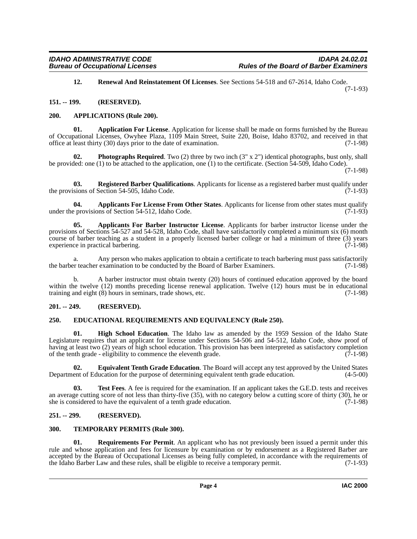<span id="page-3-15"></span><span id="page-3-8"></span>**12. Renewal And Reinstatement Of Licenses**. See Sections 54-518 and 67-2614, Idaho Code. (7-1-93)

<span id="page-3-0"></span>**151. -- 199. (RESERVED).**

#### <span id="page-3-9"></span><span id="page-3-1"></span>**200. APPLICATIONS (Rule 200).**

**01. Application For License**. Application for license shall be made on forms furnished by the Bureau of Occupational Licenses, Owyhee Plaza, 1109 Main Street, Suite 220, Boise, Idaho 83702, and received in that office at least thirty (30) days prior to the date of examination. (7-1-98)

<span id="page-3-13"></span>**Photographs Required**. Two (2) three by two inch (3" x 2") identical photographs, bust only, shall be provided: one (1) to be attached to the application, one (1) to the certificate. (Section 54-509, Idaho Code).

(7-1-98)

<span id="page-3-14"></span>**03.** Registered Barber Qualifications. Applicants for license as a registered barber must qualify under sions of Section 54-505, Idaho Code. (7-1-93) the provisions of Section 54-505, Idaho Code.

<span id="page-3-7"></span>**04.** Applicants For License From Other States. Applicants for license from other states must qualify provisions of Section 54-512. Idaho Code. under the provisions of Section  $54-512$ , Idaho Code.

<span id="page-3-6"></span>**05. Applicants For Barber Instructor License**. Applicants for barber instructor license under the provisions of Sections 54-527 and 54-528, Idaho Code, shall have satisfactorily completed a minimum six (6) month course of barber teaching as a student in a properly licensed barber college or had a minimum of three (3) years experience in practical barbering. (7-1-98)

a. Any person who makes application to obtain a certificate to teach barbering must pass satisfactorily or teacher examination to be conducted by the Board of Barber Examiners. (7-1-98) the barber teacher examination to be conducted by the Board of Barber Examiners.

b. A barber instructor must obtain twenty (20) hours of continued education approved by the board within the twelve (12) months preceding license renewal application. Twelve (12) hours must be in educational training and eight (8) hours in seminars, trade shows, etc. (7-1-98)

#### <span id="page-3-2"></span>**201. -- 249. (RESERVED).**

#### <span id="page-3-10"></span><span id="page-3-3"></span>**250. EDUCATIONAL REQUIREMENTS AND EQUIVALENCY (Rule 250).**

<span id="page-3-12"></span>**01. High School Education**. The Idaho law as amended by the 1959 Session of the Idaho State Legislature requires that an applicant for license under Sections 54-506 and 54-512, Idaho Code, show proof of having at least two (2) years of high school education. This provision has been interpreted as satisfactory completion of the tenth grade - eligibility to commence the eleventh grade.  $(7-1-98)$ 

<span id="page-3-11"></span>**02. Equivalent Tenth Grade Education**. The Board will accept any test approved by the United States ent of Education for the purpose of determining equivalent tenth grade education.  $(4-5-00)$ Department of Education for the purpose of determining equivalent tenth grade education.

<span id="page-3-18"></span>**03.** Test Fees. A fee is required for the examination. If an applicant takes the G.E.D. tests and receives an average cutting score of not less than thirty-five (35), with no category below a cutting score of thirty (30), he or she is considered to have the equivalent of a tenth grade education. (7-1-98)

#### <span id="page-3-4"></span>**251. -- 299. (RESERVED).**

#### <span id="page-3-17"></span><span id="page-3-5"></span>**300. TEMPORARY PERMITS (Rule 300).**

<span id="page-3-16"></span>**01. Requirements For Permit**. An applicant who has not previously been issued a permit under this rule and whose application and fees for licensure by examination or by endorsement as a Registered Barber are accepted by the Bureau of Occupational Licenses as being fully completed, in accordance with the requirements of the Idaho Barber Law and these rules, shall be eligible to receive a temporary permit. (7-1-93)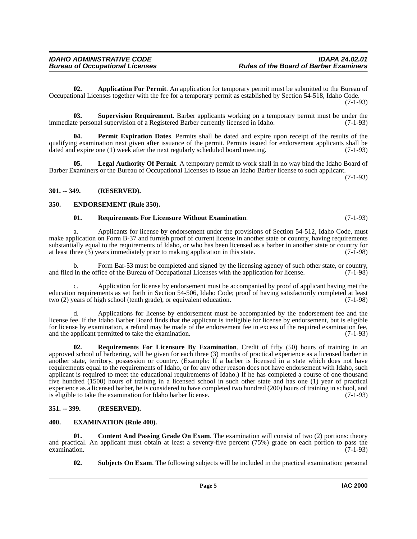<span id="page-4-4"></span>**02. Application For Permit**. An application for temporary permit must be submitted to the Bureau of Occupational Licenses together with the fee for a temporary permit as established by Section 54-518, Idaho Code. (7-1-93)

<span id="page-4-13"></span>**03. Supervision Requirement**. Barber applicants working on a temporary permit must be under the te personal supervision of a Registered Barber currently licensed in Idaho. (7-1-93) immediate personal supervision of a Registered Barber currently licensed in Idaho.

<span id="page-4-9"></span>**04. Permit Expiration Dates**. Permits shall be dated and expire upon receipt of the results of the qualifying examination next given after issuance of the permit. Permits issued for endorsement applicants shall be dated and expire one (1) week after the next regularly scheduled board meeting. (7-1-93)

<span id="page-4-8"></span>**05. Legal Authority Of Permit**. A temporary permit to work shall in no way bind the Idaho Board of Barber Examiners or the Bureau of Occupational Licenses to issue an Idaho Barber license to such applicant.

(7-1-93)

#### <span id="page-4-0"></span>**301. -- 349. (RESERVED).**

#### <span id="page-4-1"></span>**350. ENDORSEMENT (Rule 350).**

#### <span id="page-4-11"></span><span id="page-4-6"></span>**01. Requirements For Licensure Without Examination**. (7-1-93)

a. Applicants for license by endorsement under the provisions of Section 54-512, Idaho Code, must make application on Form B-37 and furnish proof of current license in another state or country, having requirements substantially equal to the requirements of Idaho, or who has been licensed as a barber in another state or country for at least three (3) years immediately prior to making application in this state. (7-1-98) at least three  $(3)$  years immediately prior to making application in this state.

b. Form Bar-53 must be completed and signed by the licensing agency of such other state, or country, in the office of the Bureau of Occupational Licenses with the application for license. (7-1-98) and filed in the office of the Bureau of Occupational Licenses with the application for license.

c. Application for license by endorsement must be accompanied by proof of applicant having met the education requirements as set forth in Section 54-506, Idaho Code; proof of having satisfactorily completed at least two (2) years of high school (tenth grade), or equivalent education. (7-1-98)

d. Applications for license by endorsement must be accompanied by the endorsement fee and the license fee. If the Idaho Barber Board finds that the applicant is ineligible for license by endorsement, but is eligible for license by examination, a refund may be made of the endorsement fee in excess of the required examination fee, and the applicant permitted to take the examination. (7-1-93)

<span id="page-4-10"></span>**02. Requirements For Licensure By Examination**. Credit of fifty (50) hours of training in an approved school of barbering, will be given for each three (3) months of practical experience as a licensed barber in another state, territory, possession or country. (Example: If a barber is licensed in a state which does not have requirements equal to the requirements of Idaho, or for any other reason does not have endorsement with Idaho, such applicant is required to meet the educational requirements of Idaho.) If he has completed a course of one thousand five hundred (1500) hours of training in a licensed school in such other state and has one (1) year of practical experience as a licensed barber, he is considered to have completed two hundred (200) hours of training in school, and is eligible to take the examination for Idaho barber license. (7-1-93)

#### <span id="page-4-2"></span>**351. -- 399. (RESERVED).**

#### <span id="page-4-7"></span><span id="page-4-3"></span>**400. EXAMINATION (Rule 400).**

**01.** Content And Passing Grade On Exam. The examination will consist of two (2) portions: theory and practical. An applicant must obtain at least a seventy-five percent (75%) grade on each portion to pass the examination. (7-1-93) examination.

<span id="page-4-12"></span><span id="page-4-5"></span>**02. Subjects On Exam**. The following subjects will be included in the practical examination: personal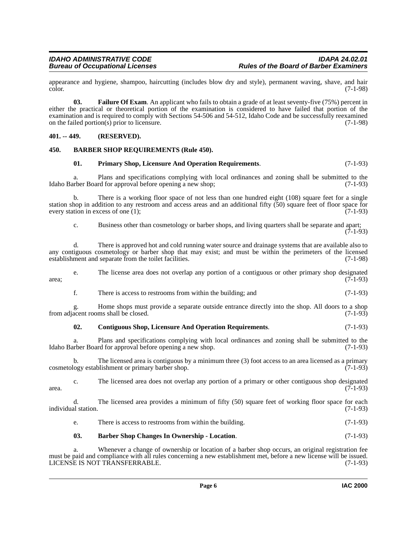appearance and hygiene, shampoo, haircutting (includes blow dry and style), permanent waving, shave, and hair color. (7-1-98) color. (7-1-98)

<span id="page-5-5"></span>**03. Failure Of Exam**. An applicant who fails to obtain a grade of at least seventy-five (75%) percent in either the practical or theoretical portion of the examination is considered to have failed that portion of the examination and is required to comply with Sections 54-506 and 54-512, Idaho Code and be successfully reexamined<br>on the failed portion(s) prior to licensure. on the failed portion( $\overline{s}$ ) prior to licensure.

#### <span id="page-5-0"></span>**401. -- 449. (RESERVED).**

#### <span id="page-5-1"></span>**450. BARBER SHOP REQUIREMENTS (Rule 450).**

#### <span id="page-5-6"></span><span id="page-5-3"></span>**01. Primary Shop, Licensure And Operation Requirements**. (7-1-93)

a. Plans and specifications complying with local ordinances and zoning shall be submitted to the Idaho Barber Board for approval before opening a new shop; (7-1-93)

b. There is a working floor space of not less than one hundred eight (108) square feet for a single station shop in addition to any restroom and access areas and an additional fifty (50) square feet of floor space for every station in excess of one  $(1)$ ; (7-1-93)

c. Business other than cosmetology or barber shops, and living quarters shall be separate and apart;  $(7-1-93)$ 

d. There is approved hot and cold running water source and drainage systems that are available also to any contiguous cosmetology or barber shop that may exist; and must be within the perimeters of the licensed establishment and separate from the toilet facilities. (7-1-98)

e. The license area does not overlap any portion of a contiguous or other primary shop designated  $\frac{1}{7-1-93}$  (7-1-93)

f. There is access to restrooms from within the building; and (7-1-93)

g. Home shops must provide a separate outside entrance directly into the shop. All doors to a shop from adjacent rooms shall be closed.

#### <span id="page-5-4"></span>**02. Contiguous Shop, Licensure And Operation Requirements**. (7-1-93)

a. Plans and specifications complying with local ordinances and zoning shall be submitted to the rber Board for approval before opening a new shop. (7-1-93) Idaho Barber Board for approval before opening a new shop.

b. The licensed area is contiguous by a minimum three (3) foot access to an area licensed as a primary cosmetology establishment or primary barber shop. (7-1-93)

c. The licensed area does not overlap any portion of a primary or other contiguous shop designated (7-1-93) area.  $(7-1-93)$ 

d. The licensed area provides a minimum of fifty (50) square feet of working floor space for each individual station. (7-1-93)

e. There is access to restrooms from within the building. (7-1-93)

#### <span id="page-5-2"></span>**03. Barber Shop Changes In Ownership - Location**. (7-1-93)

a. Whenever a change of ownership or location of a barber shop occurs, an original registration fee must be paid and compliance with all rules concerning a new establishment met, before a new license will be issued. LICENSE IS NOT TRANSFERRABLE. (7-1-93)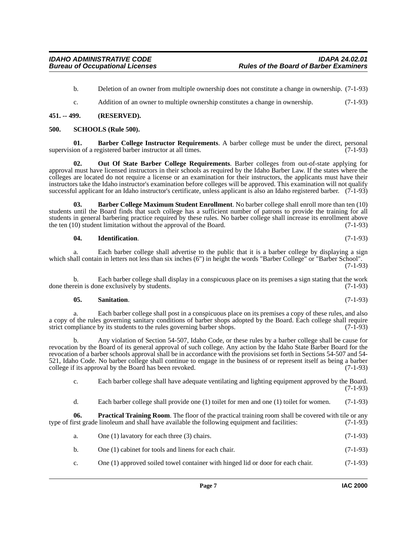- b. Deletion of an owner from multiple ownership does not constitute a change in ownership. (7-1-93)
- <span id="page-6-8"></span><span id="page-6-2"></span>c. Addition of an owner to multiple ownership constitutes a change in ownership. (7-1-93)

#### <span id="page-6-0"></span>**451. -- 499. (RESERVED).**

#### <span id="page-6-1"></span>**500. SCHOOLS (Rule 500).**

**01. Barber College Instructor Requirements**. A barber college must be under the direct, personal ion of a registered barber instructor at all times. (7-1-93) supervision of a registered barber instructor at all times.

<span id="page-6-5"></span>**02. Out Of State Barber College Requirements**. Barber colleges from out-of-state applying for approval must have licensed instructors in their schools as required by the Idaho Barber Law. If the states where the colleges are located do not require a license or an examination for their instructors, the applicants must have their instructors take the Idaho instructor's examination before colleges will be approved. This examination will not qualify successful applicant for an Idaho instructor's certificate, unless applicant is also an Idaho registered barber. (7-1-93)

**03. Barber College Maximum Student Enrollment**. No barber college shall enroll more than ten (10) students until the Board finds that such college has a sufficient number of patrons to provide the training for all students in general barbering practice required by these rules. No barber college shall increase its enrollment above<br>the ten (10) student limitation without the approval of the Board. (7-1-93) the ten  $(10)$  student limitation without the approval of the Board.

#### <span id="page-6-4"></span><span id="page-6-3"></span>**04. Identification**. (7-1-93)

a. Each barber college shall advertise to the public that it is a barber college by displaying a sign which shall contain in letters not less than six inches (6") in height the words "Barber College" or "Barber School". (7-1-93)

b. Each barber college shall display in a conspicuous place on its premises a sign stating that the work rein is done exclusively by students. (7-1-93) done therein is done exclusively by students.

#### <span id="page-6-7"></span>**05. Sanitation**. (7-1-93)

a. Each barber college shall post in a conspicuous place on its premises a copy of these rules, and also a copy of the rules governing sanitary conditions of barber shops adopted by the Board. Each college shall require strict compliance by its students to the rules governing barber shops. (7-1-93) strict compliance by its students to the rules governing barber shops.

b. Any violation of Section 54-507, Idaho Code, or these rules by a barber college shall be cause for revocation by the Board of its general approval of such college. Any action by the Idaho State Barber Board for the revocation of a barber schools approval shall be in accordance with the provisions set forth in Sections 54-507 and 54- 521, Idaho Code. No barber college shall continue to engage in the business of or represent itself as being a barber college if its approval by the Board has been revoked. (7-1-93)

c. Each barber college shall have adequate ventilating and lighting equipment approved by the Board. (7-1-93)

<span id="page-6-6"></span>d. Each barber college shall provide one (1) toilet for men and one (1) toilet for women. (7-1-93)

**06. Practical Training Room**. The floor of the practical training room shall be covered with tile or any type of first grade linoleum and shall have available the following equipment and facilities: (7-1-93)

- a. One (1) lavatory for each three (3) chairs.  $(7-1-93)$
- b. One (1) cabinet for tools and linens for each chair. (7-1-93)
- c. One (1) approved soiled towel container with hinged lid or door for each chair. (7-1-93)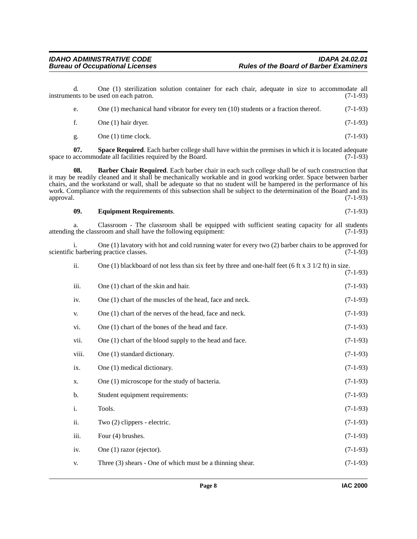<span id="page-7-2"></span><span id="page-7-1"></span><span id="page-7-0"></span>e. One (1) mechanical hand vibrator for every ten (10) students or a fraction thereof. (7-1-93) f. One (1) hair dryer.  $(7-1-93)$ g. One (1) time clock.  $(7-1-93)$ **07. Space Required**. Each barber college shall have within the premises in which it is located adequate accommodate all facilities required by the Board. (7-1-93) space to accommodate all facilities required by the Board. **08. Barber Chair Required**. Each barber chair in each such college shall be of such construction that it may be readily cleaned and it shall be mechanically workable and in good working order. Space between barber chairs, and the workstand or wall, shall be adequate so that no student will be hampered in the performance of his work. Compliance with the requirements of this subsection shall be subject to the determination of the Board and its approval. (7-1-93) **09. Equipment Requirements**. (7-1-93) a. Classroom - The classroom shall be equipped with sufficient seating capacity for all students the classroom and shall have the following equipment: (7-1-93) attending the classroom and shall have the following equipment: i. One (1) lavatory with hot and cold running water for every two (2) barber chairs to be approved for scientific barbering practice classes. ii. One (1) blackboard of not less than six feet by three and one-half feet (6 ft  $x$  3 1/2 ft) in size. (7-1-93) iii. One  $(1)$  chart of the skin and hair. (7-1-93) iv. One (1) chart of the muscles of the head, face and neck. (7-1-93) v. One  $(1)$  chart of the nerves of the head, face and neck.  $(7-1-93)$ vi. One  $(1)$  chart of the bones of the head and face.  $(7-1-93)$ vii. One (1) chart of the blood supply to the head and face. (7-1-93) viii. One (1) standard dictionary. (7-1-93) ix. One (1) medical dictionary.  $(7-1-93)$ x. One (1) microscope for the study of bacteria. (7-1-93) b. Student equipment requirements: (7-1-93)

d. One (1) sterilization solution container for each chair, adequate in size to accommodate all

instruments to be used on each patron. (7-1-93)

- i. Tools. (7-1-93) ii. Two  $(2)$  clippers - electric.  $(7-1-93)$ iii. Four  $(4)$  brushes.  $(7-1-93)$ iv. One (1) razor (ejector).  $(7-1-93)$
- v. Three  $(3)$  shears One of which must be a thinning shear.  $(7-1-93)$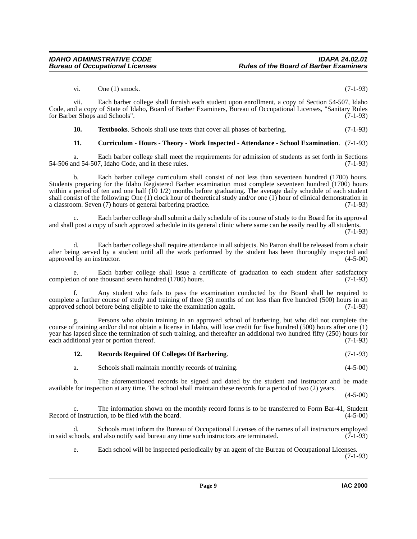vi. One (1) smock.  $(7-1-93)$ 

vii. Each barber college shall furnish each student upon enrollment, a copy of Section 54-507, Idaho Code, and a copy of State of Idaho, Board of Barber Examiners, Bureau of Occupational Licenses, "Sanitary Rules for Barber Shops and Schools". (7-1-93)

<span id="page-8-2"></span>**10. Textbooks**. Schools shall use texts that cover all phases of barbering. (7-1-93)

#### <span id="page-8-0"></span>**11. Curriculum - Hours - Theory - Work Inspected - Attendance - School Examination**. (7-1-93)

a. Each barber college shall meet the requirements for admission of students as set forth in Sections nd 54-507. Idaho Code, and in these rules. (7-1-93)  $54-506$  and  $54-507$ , Idaho Code, and in these rules.

b. Each barber college curriculum shall consist of not less than seventeen hundred (1700) hours. Students preparing for the Idaho Registered Barber examination must complete seventeen hundred (1700) hours within a period of ten and one half (10 1/2) months before graduating. The average daily schedule of each student shall consist of the following: One (1) clock hour of theoretical study and/or one (1) hour of clinical demonstration in a classroom. Seven (7) hours of general barbering practice. (7-1-93)

c. Each barber college shall submit a daily schedule of its course of study to the Board for its approval and shall post a copy of such approved schedule in its general clinic where same can be easily read by all students. (7-1-93)

d. Each barber college shall require attendance in all subjects. No Patron shall be released from a chair after being served by a student until all the work performed by the student has been thoroughly inspected and approved by an instructor. (4-5-00)

Each barber college shall issue a certificate of graduation to each student after satisfactory completion of one thousand seven hundred (1700) hours. (7-1-93)

f. Any student who fails to pass the examination conducted by the Board shall be required to complete a further course of study and training of three (3) months of not less than five hundred (500) hours in an approved school before being eligible to take the examination again. (7-1-93)

Persons who obtain training in an approved school of barbering, but who did not complete the g. Persons who obtain training in an approved school of barbering, but who did not complete the course of training and/or did not obtain a license in Idaho, will lose credit for five hundred (500) hours after one (1) year has lapsed since the termination of such training, and thereafter an additional two hundred fifty (250) hours for each additional year or portion thereof. (7-1-93)

#### <span id="page-8-1"></span>**12. Records Required Of Colleges Of Barbering**. (7-1-93)

a. Schools shall maintain monthly records of training. (4-5-00)

b. The aforementioned records be signed and dated by the student and instructor and be made available for inspection at any time. The school shall maintain these records for a period of two (2) years.

(4-5-00)

c. The information shown on the monthly record forms is to be transferred to Form Bar-41, Student of Instruction, to be filed with the board. (4-5-00) Record of Instruction, to be filed with the board.

d. Schools must inform the Bureau of Occupational Licenses of the names of all instructors employed in said schools, and also notify said bureau any time such instructors are terminated. (7-1-93)

e. Each school will be inspected periodically by an agent of the Bureau of Occupational Licenses. (7-1-93)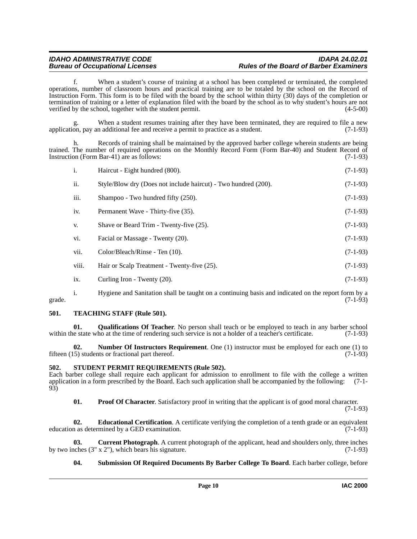f. When a student's course of training at a school has been completed or terminated, the completed operations, number of classroom hours and practical training are to be totaled by the school on the Record of Instruction Form. This form is to be filed with the board by the school within thirty (30) days of the completion or termination of training or a letter of explanation filed with the board by the school as to why student's hours are not verified by the school, together with the student permit. (4-5-00)

When a student resumes training after they have been terminated, they are required to file a new application, pay an additional fee and receive a permit to practice as a student. (7-1-93)

Records of training shall be maintained by the approved barber college wherein students are being trained. The number of required operations on the Monthly Record Form (Form Bar-40) and Student Record of Instruction (Form Bar-41) are as follows: (7-1-93)

| i.    | Haircut - Eight hundred (800).                                 | $(7-1-93)$ |
|-------|----------------------------------------------------------------|------------|
| ii.   | Style/Blow dry (Does not include haircut) - Two hundred (200). | $(7-1-93)$ |
| iii.  | Shampoo - Two hundred fifty (250).                             | $(7-1-93)$ |
| iv.   | Permanent Wave - Thirty-five (35).                             | $(7-1-93)$ |
| V.    | Shave or Beard Trim - Twenty-five (25).                        | $(7-1-93)$ |
| vi.   | Facial or Massage - Twenty (20).                               | $(7-1-93)$ |
| vii.  | Color/Bleach/Rinse - Ten (10).                                 | $(7-1-93)$ |
| viii. | Hair or Scalp Treatment - Twenty-five (25).                    | $(7-1-93)$ |
| ix.   | Curling Iron - Twenty (20).                                    | $(7-1-93)$ |

i. Hygiene and Sanitation shall be taught on a continuing basis and indicated on the report form by a grade.  $(7-1-93)$ 

#### <span id="page-9-9"></span><span id="page-9-0"></span>**501. TEACHING STAFF (Rule 501).**

<span id="page-9-6"></span>**01. Qualifications Of Teacher**. No person shall teach or be employed to teach in any barber school within the state who at the time of rendering such service is not a holder of a teacher's certificate. (7-1-93)

<span id="page-9-4"></span>**02. Number Of Instructors Requirement**. One (1) instructor must be employed for each one (1) to fifteen (15) students or fractional part thereof. (7-1-93)

#### <span id="page-9-7"></span><span id="page-9-1"></span>**502. STUDENT PERMIT REQUIREMENTS (Rule 502).**

Each barber college shall require each applicant for admission to enrollment to file with the college a written application in a form prescribed by the Board. Each such application shall be accompanied by the following: (7-1- 93)

<span id="page-9-5"></span><span id="page-9-3"></span>**01.** Proof Of Character. Satisfactory proof in writing that the applicant is of good moral character. (7-1-93)

**02. Educational Certification**. A certificate verifying the completion of a tenth grade or an equivalent education as determined by a GED examination. (7-1-93)

**03.** Current Photograph. A current photograph of the applicant, head and shoulders only, three inches (3" x 2"), which bears his signature. (7-1-93) by two inches  $(3'' \times 2'')$ , which bears his signature.

#### <span id="page-9-8"></span><span id="page-9-2"></span>**04. Submission Of Required Documents By Barber College To Board**. Each barber college, before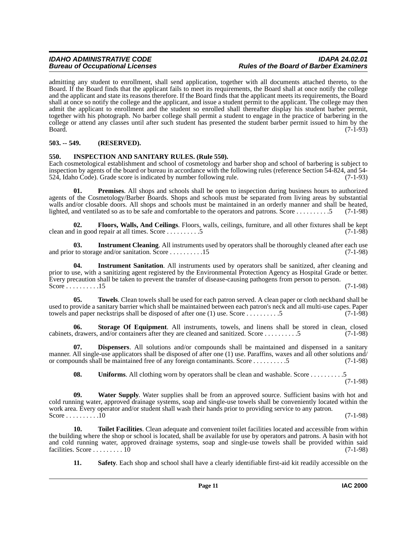## **Bureau of Occupational Licenses**

admitting any student to enrollment, shall send application, together with all documents attached thereto, to the Board. If the Board finds that the applicant fails to meet its requirements, the Board shall at once notify the college and the applicant and state its reasons therefore. If the Board finds that the applicant meets its requirements, the Board shall at once so notify the college and the applicant, and issue a student permit to the applicant. The college may then admit the applicant to enrollment and the student so enrolled shall thereafter display his student barber permit, together with his photograph. No barber college shall permit a student to engage in the practice of barbering in the college or attend any classes until after such student has presented the student barber permit issued to him by the  $Board.$  (7-1-93)

### <span id="page-10-0"></span>**503. -- 549. (RESERVED).**

#### <span id="page-10-4"></span><span id="page-10-1"></span>**550. INSPECTION AND SANITARY RULES. (Rule 550).**

Each cosmetological establishment and school of cosmetology and barber shop and school of barbering is subject to inspection by agents of the board or bureau in accordance with the following rules (reference Section 54-824, and 54- 524, Idaho Code). Grade score is indicated by number following rule. (7-1-93)

<span id="page-10-7"></span>**01. Premises**. All shops and schools shall be open to inspection during business hours to authorized agents of the Cosmetology/Barber Boards. Shops and schools must be separated from living areas by substantial walls and/or closable doors. All shops and schools must be maintained in an orderly manner and shall be heated, lighted, and ventilated so as to be safe and comfortable to the operators and patrons. Score . . . . . . . . . .5 (7-1-98)

<span id="page-10-3"></span>**02. Floors, Walls, And Ceilings**. Floors, walls, ceilings, furniture, and all other fixtures shall be kept clean and in good repair at all times. Score . . . . . . . . . .5 (7-1-98)

<span id="page-10-5"></span>**03. Instrument Cleaning**. All instruments used by operators shall be thoroughly cleaned after each use and prior to storage and/or sanitation. Score  $\dots \dots \dots \dots 15$ 

<span id="page-10-6"></span>**04. Instrument Sanitation**. All instruments used by operators shall be sanitized, after cleaning and prior to use, with a sanitizing agent registered by the Environmental Protection Agency as Hospital Grade or better. Every precaution shall be taken to prevent the transfer of disease-causing pathogens from person to person. Score . . . . . . . . . . 15 (7-1-98)

<span id="page-10-11"></span>**05. Towels**. Clean towels shall be used for each patron served. A clean paper or cloth neckband shall be used to provide a sanitary barrier which shall be maintained between each patron's neck and all multi-use capes. Paper<br>towels and paper neckstrips shall be disposed of after one (1) use. Score .........5 (7-1-98) towels and paper neckstrips shall be disposed of after one  $(1)$  use. Score  $\dots \dots \dots 5$ 

<span id="page-10-9"></span>**06. Storage Of Equipment**. All instruments, towels, and linens shall be stored in clean, closed cabinets, drawers, and/or containers after they are cleaned and sanitized. Score . . . . . . . . . .5 (7-1-98)

**07. Dispensers**. All solutions and/or compounds shall be maintained and dispensed in a sanitary manner. All single-use applicators shall be disposed of after one (1) use. Paraffins, waxes and all other solutions and/ or compounds shall be maintained free of any foreign contaminants. Score . . . . . . . . . .5 (7-1-98)

<span id="page-10-13"></span><span id="page-10-12"></span><span id="page-10-2"></span>**08.** Uniforms. All clothing worn by operators shall be clean and washable. Score . . . . . . . . . . . . 5 (7-1-98)

**09. Water Supply**. Water supplies shall be from an approved source. Sufficient basins with hot and cold running water, approved drainage systems, soap and single-use towels shall be conveniently located within the work area. Every operator and/or student shall wash their hands prior to providing service to any patron. Score . . . . . . . . . .10 (7-1-98)

**10. Toilet Facilities**. Clean adequate and convenient toilet facilities located and accessible from within the building where the shop or school is located, shall be available for use by operators and patrons. A basin with hot and cold running water, approved drainage systems, soap and single-use towels shall be provided within said facilities. Score ........ 10  $(7-1-98)$ facilities. Score  $\ldots \ldots \ldots \overline{10}$ 

<span id="page-10-10"></span><span id="page-10-8"></span>**11. Safety**. Each shop and school shall have a clearly identifiable first-aid kit readily accessible on the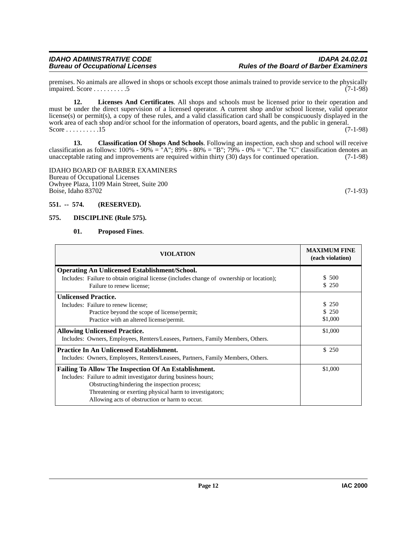premises. No animals are allowed in shops or schools except those animals trained to provide service to the physically  $\frac{1}{2}$  impaired. Score . . . . . . . . . 5 (7-1-98)

<span id="page-11-4"></span>**12. Licenses And Certificates**. All shops and schools must be licensed prior to their operation and must be under the direct supervision of a licensed operator. A current shop and/or school license, valid operator license(s) or permit(s), a copy of these rules, and a valid classification card shall be conspicuously displayed in the work area of each shop and/or school for the information of operators, board agents, and the public in general. Score  $\dots \dots \dots 15$ 

<span id="page-11-2"></span>**13. Classification Of Shops And Schools**. Following an inspection, each shop and school will receive classification as follows: 100% - 90% = "A"; 89% - 80% = "B"; 79% - 0% = "C". The "C" classification denotes an unacceptable rating and improvements are required within thirty (30) days for continued operation. (7-1-98)

IDAHO BOARD OF BARBER EXAMINERS Bureau of Occupational Licenses Owhyee Plaza, 1109 Main Street, Suite 200 Boise, Idaho 83702 (7-1-93)

#### <span id="page-11-0"></span>**551. -- 574. (RESERVED).**

#### <span id="page-11-1"></span>**575. DISCIPLINE (Rule 575).**

#### <span id="page-11-5"></span><span id="page-11-3"></span>**01. Proposed Fines**.

| <b>VIOLATION</b>                                                                                                                                                                                                                                                                     | <b>MAXIMUM FINE</b><br>(each violation) |
|--------------------------------------------------------------------------------------------------------------------------------------------------------------------------------------------------------------------------------------------------------------------------------------|-----------------------------------------|
| <b>Operating An Unlicensed Establishment/School.</b><br>Includes: Failure to obtain original license (includes change of ownership or location);<br>Failure to renew license;                                                                                                        | \$500<br>\$ 250                         |
| <b>Unlicensed Practice.</b><br>Includes: Failure to renew license;<br>Practice beyond the scope of license/permit;<br>Practice with an altered license/permit.                                                                                                                       | \$250<br>\$250<br>\$1,000               |
| <b>Allowing Unlicensed Practice.</b><br>Includes: Owners, Employees, Renters/Leasees, Partners, Family Members, Others.                                                                                                                                                              | \$1,000                                 |
| <b>Practice In An Unlicensed Establishment.</b><br>Includes: Owners, Employees, Renters/Leasees, Partners, Family Members, Others.                                                                                                                                                   | \$250                                   |
| Failing To Allow The Inspection Of An Establishment.<br>Includes: Failure to admit investigator during business hours;<br>Obstructing/hindering the inspection process;<br>Threatening or exerting physical harm to investigators;<br>Allowing acts of obstruction or harm to occur. | \$1,000                                 |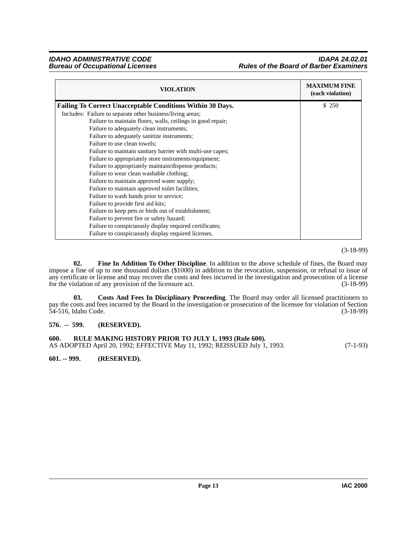#### *IDAHO ADMINISTRATIVE CODE IDAPA 24.02.01* **Rules of the Board of Barber Examiners**

| <b>VIOLATION</b>                                            | <b>MAXIMUM FINE</b><br>(each violation) |
|-------------------------------------------------------------|-----------------------------------------|
| Failing To Correct Unacceptable Conditions Within 30 Days.  | \$250                                   |
| Includes: Failure to separate other business/living areas;  |                                         |
| Failure to maintain floors, walls, ceilings in good repair; |                                         |
| Failure to adequately clean instruments;                    |                                         |
| Failure to adequately sanitize instruments;                 |                                         |
| Failure to use clean towels;                                |                                         |
| Failure to maintain sanitary barrier with multi-use capes;  |                                         |
| Failure to appropriately store instruments/equipment;       |                                         |
| Failure to appropriately maintain/dispense products;        |                                         |
| Failure to wear clean washable clothing;                    |                                         |
| Failure to maintain approved water supply;                  |                                         |
| Failure to maintain approved toilet facilities;             |                                         |
| Failure to wash hands prior to service;                     |                                         |
| Failure to provide first aid kits;                          |                                         |
| Failure to keep pets or birds out of establishment;         |                                         |
| Failure to prevent fire or safety hazard;                   |                                         |
| Failure to conspicuously display required certificates;     |                                         |
| Failure to conspicuously display required licenses.         |                                         |

#### (3-18-99)

<span id="page-12-4"></span>**02. Fine In Addition To Other Discipline**. In addition to the above schedule of fines, the Board may impose a fine of up to one thousand dollars (\$1000) in addition to the revocation, suspension, or refusal to issue of any certificate or license and may recover the costs and fees incurred in the investigation and prosecution of a license<br>for the violation of any provision of the licensure act. (3-18-99) for the violation of any provision of the licensure act.

<span id="page-12-3"></span>**03. Costs And Fees In Disciplinary Proceeding**. The Board may order all licensed practitioners to pay the costs and fees incurred by the Board in the investigation or prosecution of the licensee for violation of Section 54-516, Idaho Code. (3-18-99)

#### <span id="page-12-0"></span>**576. -- 599. (RESERVED).**

<span id="page-12-5"></span><span id="page-12-1"></span>**600. RULE MAKING HISTORY PRIOR TO JULY 1, 1993 (Rule 600).** AS ADOPTED April 20, 1992; EFFECTIVE May 11, 1992; REISSUED July 1, 1993. (7-1-93)

<span id="page-12-2"></span>**601. -- 999. (RESERVED).**